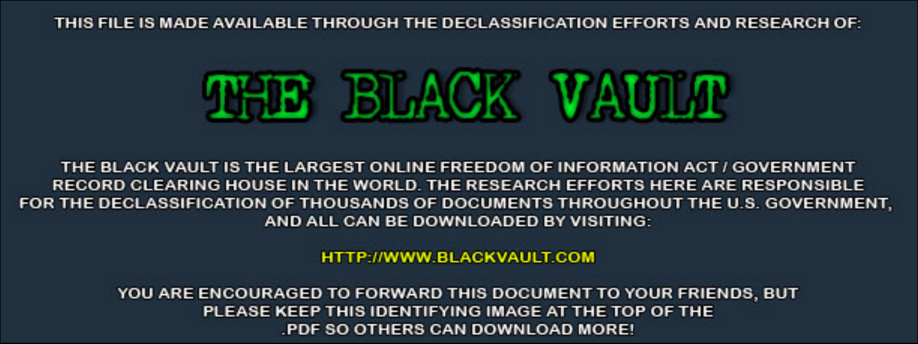THIS FILE IS MADE AVAILABLE THROUGH THE DECLASSIFICATION EFFORTS AND RESEARCH OF:



THE BLACK VAULT IS THE LARGEST ONLINE FREEDOM OF INFORMATION ACT / GOVERNMENT RECORD CLEARING HOUSE IN THE WORLD. THE RESEARCH EFFORTS HERE ARE RESPONSIBLE FOR THE DECLASSIFICATION OF THOUSANDS OF DOCUMENTS THROUGHOUT THE U.S. GOVERNMENT, AND ALL CAN BE DOWNLOADED BY VISITING:

**HTTP://WWW.BLACKVAULT.COM** 

YOU ARE ENCOURAGED TO FORWARD THIS DOCUMENT TO YOUR FRIENDS, BUT PLEASE KEEP THIS IDENTIFYING IMAGE AT THE TOP OF THE PDF SO OTHERS CAN DOWNLOAD MORE!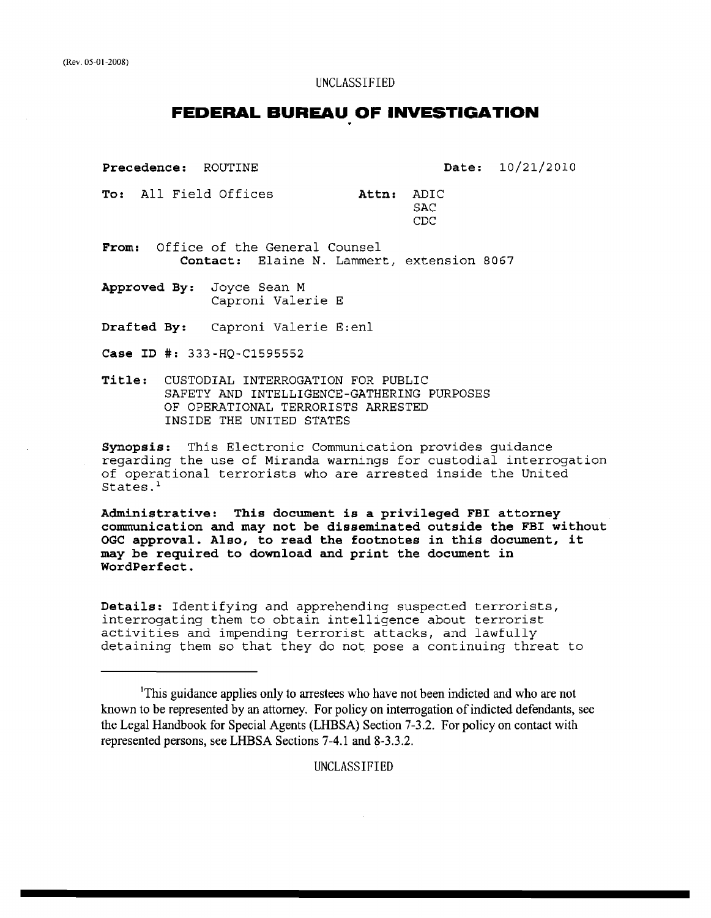#### UNCLASSIFIED

# **FEDERAL BUREAU OF INVESTIGATION**

Precedence: ROUTINE

Date: 10/21/2010

To: All Field Offices **Attn:** ADIC **SAC** CDC

From: Office of the General Counsel Contact: Elaine N. Lammert, extension 8067

Approved By: Joyce Sean M Caproni Valerie E

Drafted By: Caproni Valerie E:enl

Case ID #: 333-HQ-C1595552

Title: CUSTODIAL INTERROGATION FOR PUBLIC SAFETY AND INTELLIGENCE-GATHERING PURPOSES OF OPERATIONAL TERRORISTS ARRESTED INSIDE THE UNITED STATES

Synopsis: This Electronic Communication provides guidance regarding the use of Miranda warnings for custodial interrogation of operational terrorists who are arrested inside the United States.<sup>1</sup>

Administrative: This document is a privileged FBI attorney communication and may not be disseminated outside the FBI without OGC approval. Also, to read the footnotes in this document, it may be required to download and print the document in WordPerfect.

Details: Identifying and apprehending suspected terrorists, interrogating them to obtain intelligence about terrorist activities and impending terrorist attacks, and lawfully detaining them so that they do not pose a continuing threat to

UNCLASSIFIED

<sup>&#</sup>x27;This guidance applies only to arrestees who have not been indicted and who are not known to be represented by an attorney. For policy on interrogation of indicted defendants, see the Legal Handbook for Special Agents (LHBSA) Section 7-3.2. For policy on contact with represented persons, see LHBSA Sections 7-4.1 and 8-3.3.2.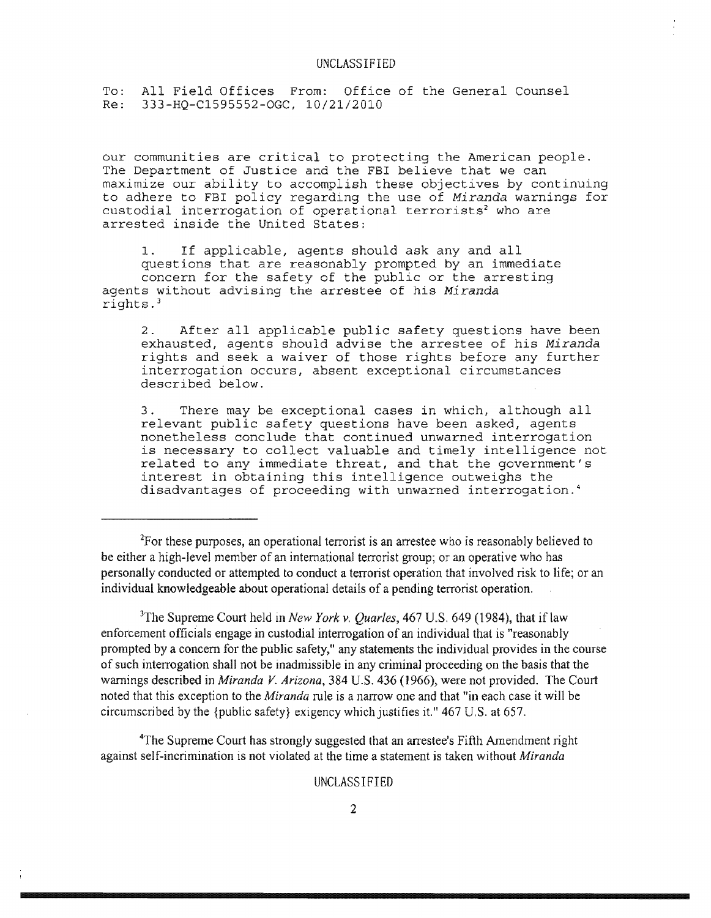To: All Field Offices From: Office of the General Counsel<br>Re: 333-HO-C1595552-OGC, 10/21/2010 Re: 333-HQ-C1595552-0GC, 10/21/2010

our communities are critical to protecting the American people. The Department of Justice and the FBI believe that we can maximize our ability to accomplish these objectives by continuing to adhere to FBI policy regarding the use of *Miranda* warnings for custodial interrogation of operational terrorists<sup>2</sup> who are arrested inside the United States:

1. If applicable, agents should ask any and all questions that are reasonably prompted by an immediate concern for the safety of the public or the arresting agents without advising the arrestee of his *Miranda*  rights. 3

2. After all applicable public safety questions have been exhausted, agents should advise the arrestee of his *Miranda*  rights and seek a waiver of those rights before any further interrogation occurs, absent exceptional circumstances described below.

3. There may be exceptional cases in which, although all relevant public safety questions have been asked, agents nonetheless conclude that continued unwarned interrogation is necessary to collect valuable and timely intelligence not related to any immediate threat, and that the government's interest in obtaining this intelligence outweighs the disadvantages of proceeding with unwarned interrogation. <sup>4</sup>

 $2$ For these purposes, an operational terrorist is an arrestee who is reasonably believed to be either a high-level member of an international terrorist group; or an operative who has personally conducted or attempted to conduct a terrorist operation that involved risk to life; or an individual knowledgeable about operational details of a pending terrorist operation.

<sup>3</sup>The Supreme Court held in *New York v. Quarles*, 467 U.S. 649 (1984), that if law enforcement officials engage in custodial interrogation of an individual that is "reasonably prompted by a concern for the public safety," any statements the individual provides in the course of such interrogation shall not be inadmissible in any criminal proceeding on the basis that the warnings described in *Miranda* V. *Arizona,* 384 U.S. 436 (1966), were not provided. The Court noted that this exception to the *Miranda* rule is a narrow one and that "in each case it will be circumscribed by the {public safety} exigency which justifies it." 467 U.S. at 657.

~he Supreme Court has strongly suggested that an arrestee's Fifth Amendment right against self-incrimination is not violated at the time a statement is taken without *Miranda* 

UNCLASSIFIED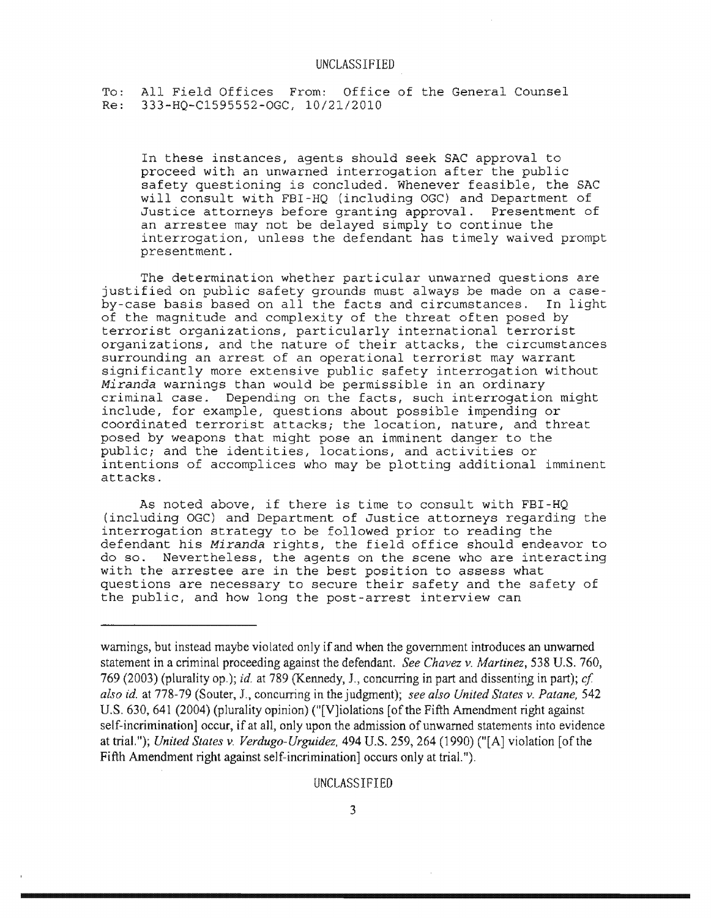To: All Field Offices From: Office of the General Counsel<br>Re: 333-HO-C1595552-OGC, 10/21/2010 Re: 333-HQ-Cl595552-0GC, 10/21/2010

In these instances, agents should seek SAC approval to proceed with an unwarned interrogation after the public safety questioning is concluded. Whenever feasible, the SAC will consult with FBI-HQ (including OGC) and Department of Justice attorneys before granting approval. Presentment of an arrestee may not be delayed simply to continue the interrogation, unless the defendant has timely waived prompt presentment.

The determination whether particular unwarned questions are justified on public safety grounds must always be made on a caseby-case basis based on all the facts and circumstances. In light of the magnitude and complexity of the threat often posed by terrorist organizations, particularly international terrorist organizations, and the nature of their attacks, the circumstances surrounding an arrest of an operational terrorist may warrant significantly more extensive public safety interrogation without *Miranda* warnings than would be permissible in an ordinary criminal case. Depending on the facts, such interrogation might include, for example, questions about possible impending or coordinated terrorist attacks; the location, nature, and threat posed by weapons that might pose an imminent danger to the public; and the identities, locations, and activities or intentions of accomplices who may be plotting additional imminent attacks.

As noted above, if there is time to consult with FBI-HQ (including OGC) and Department of Justice attorneys regarding the interrogation strategy to be followed prior to reading the defendant his *Miranda* rights, the field office should endeavor to do so. Nevertheless, the agents on the scene who are interacting with the arrestee are in the best position to assess what questions are necessary to secure their safety and the safety of the public, and how long the post-arrest interview can

### UNCLASSIFIED

warnings, but instead maybe violated only if and when the government introduces an unwarned statement in a criminal proceeding against the defendant. *See Chavez v. Martinez,* 538 U.S. 760, 769 (2003) (plurality op.); *id.* at 789 (Kennedy, J., concurring in part and dissentin\_g in part); *cf*  also id. at 778-79 (Souter, J., concurring in the judgment); see also United States v. Patane, 542 U.S. 630, 641 (2004) (plurality opinion) ("[V]iolations [of the Fifth Amendment right against self-incrimination] occur, if at all, only upon the admission of unwarned statements into evidence at trial."); *United States v. Verdugo-Urguidez,* 494 U.S. 259,264 (1990) ("[A] violation [ofthe Fifth Amendment right against self-incrimination] occurs only at trial.").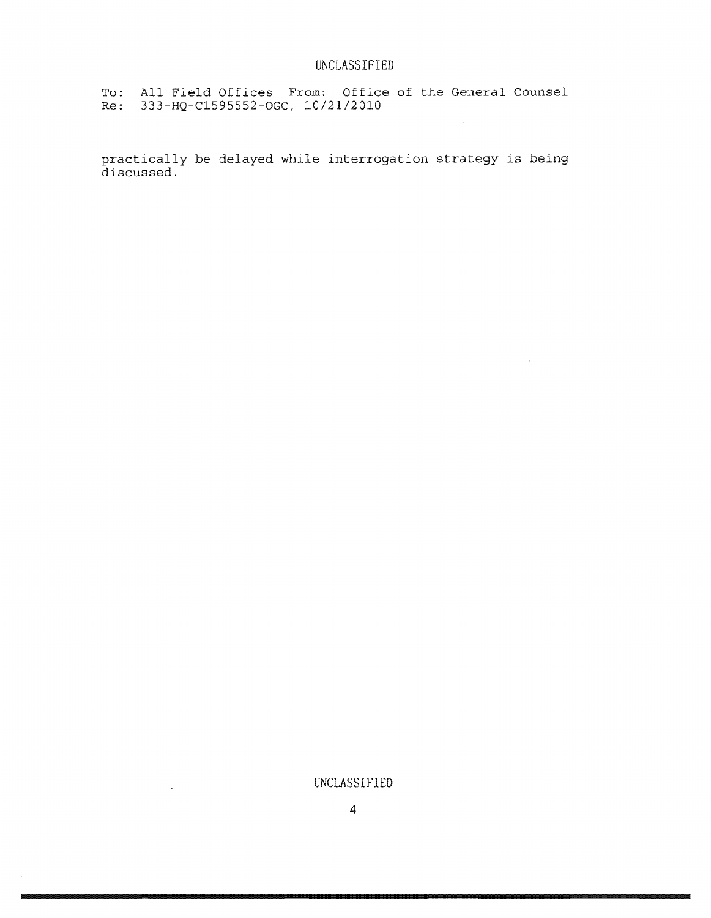$\sim 10^7$ 

To: All Field Offices From: Office of the General Counsel Re: 333-HQ-Cl595552-0GC, 10/21/2010

 $\sim 10^7$ 

 $\Delta$ 

practically be delayed while interrogation strategy is being discussed.

UNCLASSIFIED

 $\sim 10^7$